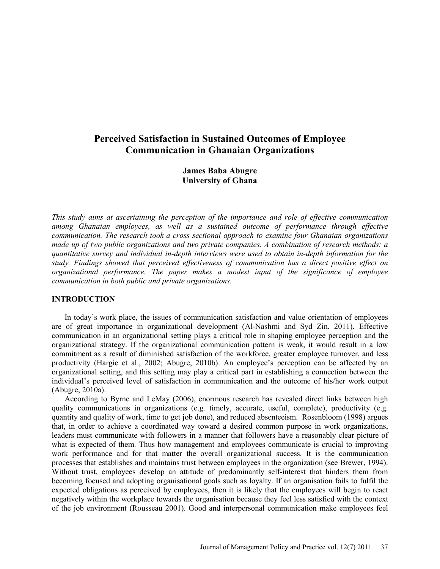# **Perceived Satisfaction in Sustained Outcomes of Employee Communication in Ghanaian Organizations**

**James Baba Abugre University of Ghana** 

*This study aims at ascertaining the perception of the importance and role of effective communication among Ghanaian employees, as well as a sustained outcome of performance through effective communication. The research took a cross sectional approach to examine four Ghanaian organizations made up of two public organizations and two private companies. A combination of research methods: a quantitative survey and individual in-depth interviews were used to obtain in-depth information for the study. Findings showed that perceived effectiveness of communication has a direct positive effect on organizational performance. The paper makes a modest input of the significance of employee communication in both public and private organizations.* 

### **INTRODUCTION**

In today's work place, the issues of communication satisfaction and value orientation of employees are of great importance in organizational development (Al-Nashmi and Syd Zin, 2011). Effective communication in an organizational setting plays a critical role in shaping employee perception and the organizational strategy. If the organizational communication pattern is weak, it would result in a low commitment as a result of diminished satisfaction of the workforce, greater employee turnover, and less productivity (Hargie et al., 2002; Abugre, 2010b). An employee's perception can be affected by an organizational setting, and this setting may play a critical part in establishing a connection between the individual's perceived level of satisfaction in communication and the outcome of his/her work output (Abugre, 2010a).

According to Byrne and LeMay (2006), enormous research has revealed direct links between high quality communications in organizations (e.g. timely, accurate, useful, complete), productivity (e.g. quantity and quality of work, time to get job done), and reduced absenteeism. Rosenbloom (1998) argues that, in order to achieve a coordinated way toward a desired common purpose in work organizations, leaders must communicate with followers in a manner that followers have a reasonably clear picture of what is expected of them. Thus how management and employees communicate is crucial to improving work performance and for that matter the overall organizational success. It is the communication processes that establishes and maintains trust between employees in the organization (see Brewer, 1994). Without trust, employees develop an attitude of predominantly self-interest that hinders them from becoming focused and adopting organisational goals such as loyalty. If an organisation fails to fulfil the expected obligations as perceived by employees, then it is likely that the employees will begin to react negatively within the workplace towards the organisation because they feel less satisfied with the context of the job environment (Rousseau 2001). Good and interpersonal communication make employees feel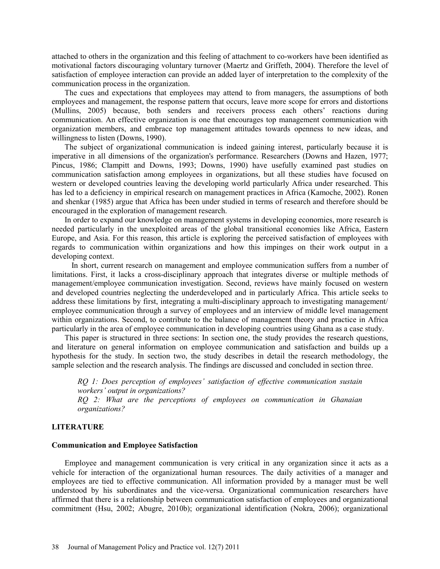attached to others in the organization and this feeling of attachment to co-workers have been identified as motivational factors discouraging voluntary turnover (Maertz and Griffeth, 2004). Therefore the level of satisfaction of employee interaction can provide an added layer of interpretation to the complexity of the communication process in the organization.

The cues and expectations that employees may attend to from managers, the assumptions of both employees and management, the response pattern that occurs, leave more scope for errors and distortions (Mullins, 2005) because, both senders and receivers process each others' reactions during communication. An effective organization is one that encourages top management communication with organization members, and embrace top management attitudes towards openness to new ideas, and willingness to listen (Downs, 1990).

The subject of organizational communication is indeed gaining interest, particularly because it is imperative in all dimensions of the organization's performance. Researchers (Downs and Hazen, 1977; Pincus, 1986; Clampitt and Downs, 1993; Downs, 1990) have usefully examined past studies on communication satisfaction among employees in organizations, but all these studies have focused on western or developed countries leaving the developing world particularly Africa under researched. This has led to a deficiency in empirical research on management practices in Africa (Kamoche, 2002). Ronen and shenkar (1985) argue that Africa has been under studied in terms of research and therefore should be encouraged in the exploration of management research.

In order to expand our knowledge on management systems in developing economies, more research is needed particularly in the unexploited areas of the global transitional economies like Africa, Eastern Europe, and Asia. For this reason, this article is exploring the perceived satisfaction of employees with regards to communication within organizations and how this impinges on their work output in a developing context.

 In short, current research on management and employee communication suffers from a number of limitations. First, it lacks a cross-disciplinary approach that integrates diverse or multiple methods of management/employee communication investigation. Second, reviews have mainly focused on western and developed countries neglecting the underdeveloped and in particularly Africa. This article seeks to address these limitations by first, integrating a multi-disciplinary approach to investigating management/ employee communication through a survey of employees and an interview of middle level management within organizations. Second, to contribute to the balance of management theory and practice in Africa particularly in the area of employee communication in developing countries using Ghana as a case study.

This paper is structured in three sections: In section one, the study provides the research questions, and literature on general information on employee communication and satisfaction and builds up a hypothesis for the study. In section two, the study describes in detail the research methodology, the sample selection and the research analysis. The findings are discussed and concluded in section three.

*RQ 1: Does perception of employees' satisfaction of effective communication sustain workers' output in organizations? RQ 2: What are the perceptions of employees on communication in Ghanaian organizations?* 

### **LITERATURE**

#### **Communication and Employee Satisfaction**

Employee and management communication is very critical in any organization since it acts as a vehicle for interaction of the organizational human resources. The daily activities of a manager and employees are tied to effective communication. All information provided by a manager must be well understood by his subordinates and the vice-versa. Organizational communication researchers have affirmed that there is a relationship between communication satisfaction of employees and organizational commitment (Hsu, 2002; Abugre, 2010b); organizational identification (Nokra, 2006); organizational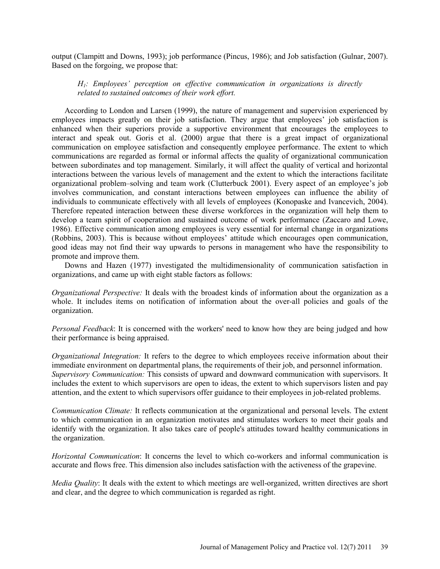output (Clampitt and Downs, 1993); job performance (Pincus, 1986); and Job satisfaction (Gulnar, 2007). Based on the forgoing, we propose that:

# *H1: Employees' perception on effective communication in organizations is directly related to sustained outcomes of their work effort.*

According to London and Larsen (1999), the nature of management and supervision experienced by employees impacts greatly on their job satisfaction. They argue that employees' job satisfaction is enhanced when their superiors provide a supportive environment that encourages the employees to interact and speak out. Goris et al. (2000) argue that there is a great impact of organizational communication on employee satisfaction and consequently employee performance. The extent to which communications are regarded as formal or informal affects the quality of organizational communication between subordinates and top management. Similarly, it will affect the quality of vertical and horizontal interactions between the various levels of management and the extent to which the interactions facilitate organizational problem–solving and team work (Clutterbuck 2001). Every aspect of an employee's job involves communication, and constant interactions between employees can influence the ability of individuals to communicate effectively with all levels of employees (Konopaske and Ivancevich, 2004). Therefore repeated interaction between these diverse workforces in the organization will help them to develop a team spirit of cooperation and sustained outcome of work performance (Zaccaro and Lowe, 1986). Effective communication among employees is very essential for internal change in organizations (Robbins, 2003). This is because without employees' attitude which encourages open communication, good ideas may not find their way upwards to persons in management who have the responsibility to promote and improve them.

Downs and Hazen (1977) investigated the multidimensionality of communication satisfaction in organizations, and came up with eight stable factors as follows:

*Organizational Perspective:* It deals with the broadest kinds of information about the organization as a whole. It includes items on notification of information about the over-all policies and goals of the organization.

*Personal Feedback*: It is concerned with the workers' need to know how they are being judged and how their performance is being appraised.

*Organizational Integration:* It refers to the degree to which employees receive information about their immediate environment on departmental plans, the requirements of their job, and personnel information. *Supervisory Communication:* This consists of upward and downward communication with supervisors. It includes the extent to which supervisors are open to ideas, the extent to which supervisors listen and pay attention, and the extent to which supervisors offer guidance to their employees in job-related problems.

*Communication Climate:* It reflects communication at the organizational and personal levels. The extent to which communication in an organization motivates and stimulates workers to meet their goals and identify with the organization. It also takes care of people's attitudes toward healthy communications in the organization.

*Horizontal Communication*: It concerns the level to which co-workers and informal communication is accurate and flows free. This dimension also includes satisfaction with the activeness of the grapevine.

*Media Quality*: It deals with the extent to which meetings are well-organized, written directives are short and clear, and the degree to which communication is regarded as right.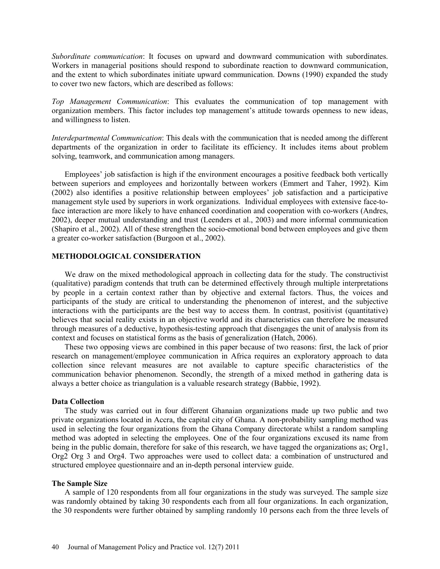*Subordinate communication*: It focuses on upward and downward communication with subordinates. Workers in managerial positions should respond to subordinate reaction to downward communication, and the extent to which subordinates initiate upward communication. Downs (1990) expanded the study to cover two new factors, which are described as follows:

*Top Management Communication*: This evaluates the communication of top management with organization members. This factor includes top management's attitude towards openness to new ideas, and willingness to listen.

*Interdepartmental Communication*: This deals with the communication that is needed among the different departments of the organization in order to facilitate its efficiency. It includes items about problem solving, teamwork, and communication among managers.

Employees' job satisfaction is high if the environment encourages a positive feedback both vertically between superiors and employees and horizontally between workers (Emmert and Taher, 1992). Kim (2002) also identifies a positive relationship between employees' job satisfaction and a participative management style used by superiors in work organizations. Individual employees with extensive face-toface interaction are more likely to have enhanced coordination and cooperation with co-workers (Andres, 2002), deeper mutual understanding and trust (Leenders et al., 2003) and more informal communication (Shapiro et al., 2002). All of these strengthen the socio-emotional bond between employees and give them a greater co-worker satisfaction (Burgoon et al., 2002).

## **METHODOLOGICAL CONSIDERATION**

We draw on the mixed methodological approach in collecting data for the study. The constructivist (qualitative) paradigm contends that truth can be determined effectively through multiple interpretations by people in a certain context rather than by objective and external factors. Thus, the voices and participants of the study are critical to understanding the phenomenon of interest, and the subjective interactions with the participants are the best way to access them. In contrast, positivist (quantitative) believes that social reality exists in an objective world and its characteristics can therefore be measured through measures of a deductive, hypothesis-testing approach that disengages the unit of analysis from its context and focuses on statistical forms as the basis of generalization (Hatch, 2006).

These two opposing views are combined in this paper because of two reasons: first, the lack of prior research on management/employee communication in Africa requires an exploratory approach to data collection since relevant measures are not available to capture specific characteristics of the communication behavior phenomenon. Secondly, the strength of a mixed method in gathering data is always a better choice as triangulation is a valuable research strategy (Babbie, 1992).

#### **Data Collection**

The study was carried out in four different Ghanaian organizations made up two public and two private organizations located in Accra, the capital city of Ghana. A non-probability sampling method was used in selecting the four organizations from the Ghana Company directorate whilst a random sampling method was adopted in selecting the employees. One of the four organizations excused its name from being in the public domain, therefore for sake of this research, we have tagged the organizations as; Org1, Org2 Org 3 and Org4. Two approaches were used to collect data: a combination of unstructured and structured employee questionnaire and an in-depth personal interview guide.

#### **The Sample Size**

A sample of 120 respondents from all four organizations in the study was surveyed. The sample size was randomly obtained by taking 30 respondents each from all four organizations. In each organization, the 30 respondents were further obtained by sampling randomly 10 persons each from the three levels of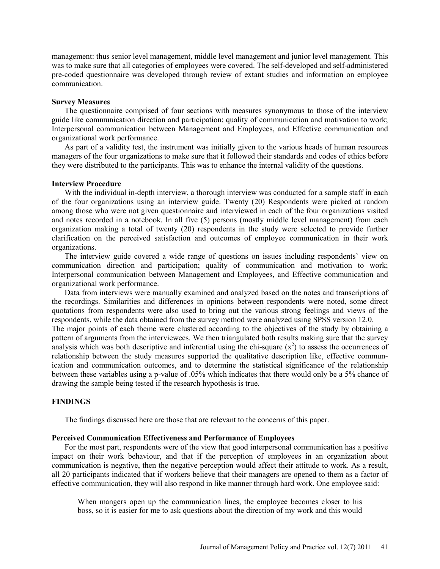management: thus senior level management, middle level management and junior level management. This was to make sure that all categories of employees were covered. The self-developed and self-administered pre-coded questionnaire was developed through review of extant studies and information on employee communication.

#### **Survey Measures**

The questionnaire comprised of four sections with measures synonymous to those of the interview guide like communication direction and participation; quality of communication and motivation to work; Interpersonal communication between Management and Employees, and Effective communication and organizational work performance.

As part of a validity test, the instrument was initially given to the various heads of human resources managers of the four organizations to make sure that it followed their standards and codes of ethics before they were distributed to the participants. This was to enhance the internal validity of the questions.

#### **Interview Procedure**

With the individual in-depth interview, a thorough interview was conducted for a sample staff in each of the four organizations using an interview guide. Twenty (20) Respondents were picked at random among those who were not given questionnaire and interviewed in each of the four organizations visited and notes recorded in a notebook. In all five (5) persons (mostly middle level management) from each organization making a total of twenty (20) respondents in the study were selected to provide further clarification on the perceived satisfaction and outcomes of employee communication in their work organizations.

The interview guide covered a wide range of questions on issues including respondents' view on communication direction and participation; quality of communication and motivation to work; Interpersonal communication between Management and Employees, and Effective communication and organizational work performance.

Data from interviews were manually examined and analyzed based on the notes and transcriptions of the recordings. Similarities and differences in opinions between respondents were noted, some direct quotations from respondents were also used to bring out the various strong feelings and views of the respondents, while the data obtained from the survey method were analyzed using SPSS version 12.0.

The major points of each theme were clustered according to the objectives of the study by obtaining a pattern of arguments from the interviewees. We then triangulated both results making sure that the survey analysis which was both descriptive and inferential using the chi-square  $(x^2)$  to assess the occurrences of relationship between the study measures supported the qualitative description like, effective communication and communication outcomes, and to determine the statistical significance of the relationship between these variables using a p-value of .05% which indicates that there would only be a 5% chance of drawing the sample being tested if the research hypothesis is true.

#### **FINDINGS**

The findings discussed here are those that are relevant to the concerns of this paper.

#### **Perceived Communication Effectiveness and Performance of Employees**

For the most part, respondents were of the view that good interpersonal communication has a positive impact on their work behaviour, and that if the perception of employees in an organization about communication is negative, then the negative perception would affect their attitude to work. As a result, all 20 participants indicated that if workers believe that their managers are opened to them as a factor of effective communication, they will also respond in like manner through hard work. One employee said:

When mangers open up the communication lines, the employee becomes closer to his boss, so it is easier for me to ask questions about the direction of my work and this would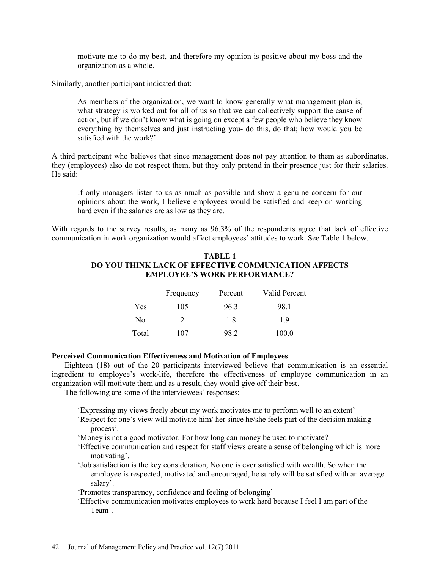motivate me to do my best, and therefore my opinion is positive about my boss and the organization as a whole.

Similarly, another participant indicated that:

As members of the organization, we want to know generally what management plan is, what strategy is worked out for all of us so that we can collectively support the cause of action, but if we don't know what is going on except a few people who believe they know everything by themselves and just instructing you- do this, do that; how would you be satisfied with the work?'

A third participant who believes that since management does not pay attention to them as subordinates, they (employees) also do not respect them, but they only pretend in their presence just for their salaries. He said:

If only managers listen to us as much as possible and show a genuine concern for our opinions about the work, I believe employees would be satisfied and keep on working hard even if the salaries are as low as they are.

With regards to the survey results, as many as 96.3% of the respondents agree that lack of effective communication in work organization would affect employees' attitudes to work. See Table 1 below.

|       | Frequency | Percent | Valid Percent |
|-------|-----------|---------|---------------|
| Yes   | 105       | 963     | 98.1          |
| No    |           | 18      | 19            |
| Total | 107       | 98.2    | 100.0         |

## **TABLE 1 DO YOU THINK LACK OF EFFECTIVE COMMUNICATION AFFECTS EMPLOYEE'S WORK PERFORMANCE?**

### **Perceived Communication Effectiveness and Motivation of Employees**

Eighteen (18) out of the 20 participants interviewed believe that communication is an essential ingredient to employee's work-life, therefore the effectiveness of employee communication in an organization will motivate them and as a result, they would give off their best.

The following are some of the interviewees' responses:

'Expressing my views freely about my work motivates me to perform well to an extent'

- 'Respect for one's view will motivate him/ her since he/she feels part of the decision making process'.
- 'Money is not a good motivator. For how long can money be used to motivate?
- 'Effective communication and respect for staff views create a sense of belonging which is more motivating'.
- 'Job satisfaction is the key consideration; No one is ever satisfied with wealth. So when the employee is respected, motivated and encouraged, he surely will be satisfied with an average salary'.

'Promotes transparency, confidence and feeling of belonging'

'Effective communication motivates employees to work hard because I feel I am part of the Team'.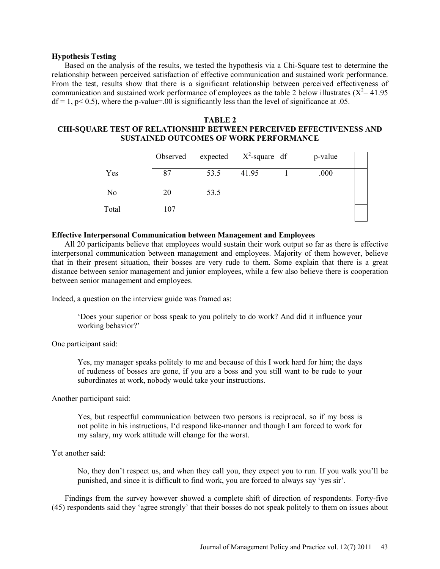### **Hypothesis Testing**

Based on the analysis of the results, we tested the hypothesis via a Chi-Square test to determine the relationship between perceived satisfaction of effective communication and sustained work performance. From the test, results show that there is a significant relationship between perceived effectiveness of communication and sustained work performance of employees as the table 2 below illustrates ( $X^2$  = 41.95  $df = 1$ , p< 0.5), where the p-value=.00 is significantly less than the level of significance at .05.

### **TABLE 2 CHI-SQUARE TEST OF RELATIONSHIP BETWEEN PERCEIVED EFFECTIVENESS AND SUSTAINED OUTCOMES OF WORK PERFORMANCE**

|                | Observed | expected $X^2$ -square df |       | p-value |  |
|----------------|----------|---------------------------|-------|---------|--|
| Yes            | 87       | 53.5                      | 41.95 | .000    |  |
| N <sub>0</sub> | 20       | 53.5                      |       |         |  |
| Total          | 107      |                           |       |         |  |

### **Effective Interpersonal Communication between Management and Employees**

All 20 participants believe that employees would sustain their work output so far as there is effective interpersonal communication between management and employees. Majority of them however, believe that in their present situation, their bosses are very rude to them. Some explain that there is a great distance between senior management and junior employees, while a few also believe there is cooperation between senior management and employees.

Indeed, a question on the interview guide was framed as:

'Does your superior or boss speak to you politely to do work? And did it influence your working behavior?'

One participant said:

Yes, my manager speaks politely to me and because of this I work hard for him; the days of rudeness of bosses are gone, if you are a boss and you still want to be rude to your subordinates at work, nobody would take your instructions.

Another participant said:

Yes, but respectful communication between two persons is reciprocal, so if my boss is not polite in his instructions, I'd respond like-manner and though I am forced to work for my salary, my work attitude will change for the worst.

#### Yet another said:

No, they don't respect us, and when they call you, they expect you to run. If you walk you'll be punished, and since it is difficult to find work, you are forced to always say 'yes sir'.

Findings from the survey however showed a complete shift of direction of respondents. Forty-five (45) respondents said they 'agree strongly' that their bosses do not speak politely to them on issues about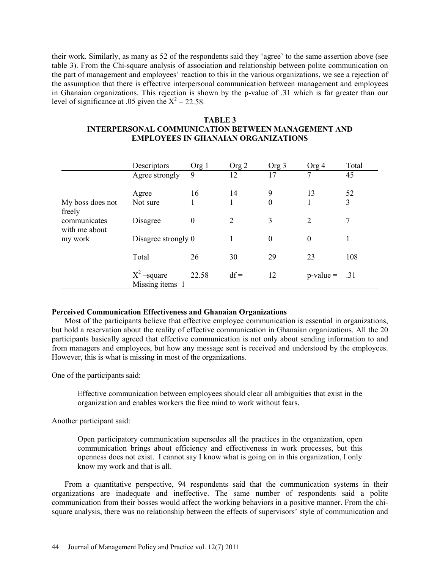their work. Similarly, as many as 52 of the respondents said they 'agree' to the same assertion above (see table 3). From the Chi-square analysis of association and relationship between polite communication on the part of management and employees' reaction to this in the various organizations, we see a rejection of the assumption that there is effective interpersonal communication between management and employees in Ghanaian organizations. This rejection is shown by the p-value of .31 which is far greater than our level of significance at .05 given the  $X^2 = 22.58$ .

|                               | Descriptors                      | Org 1            | Org2           | Org 3            | Org 4            | Total |
|-------------------------------|----------------------------------|------------------|----------------|------------------|------------------|-------|
|                               | Agree strongly                   | 9                | 12             | 17               | 7                | 45    |
|                               | Agree                            | 16               | 14             | 9                | 13               | 52    |
| My boss does not<br>freely    | Not sure                         |                  | 1              | $\theta$         | 1                | 3     |
| communicates<br>with me about | Disagree                         | $\boldsymbol{0}$ | $\overline{2}$ | 3                | $\overline{2}$   | 7     |
| my work                       | Disagree strongly 0              |                  | 1              | $\boldsymbol{0}$ | $\boldsymbol{0}$ | 1     |
|                               | Total                            | 26               | 30             | 29               | 23               | 108   |
|                               | $X^2$ –square<br>Missing items 1 | 22.58            | $df =$         | 12               | $p-value =$      | .31   |

# **TABLE 3 INTERPERSONAL COMMUNICATION BETWEEN MANAGEMENT AND EMPLOYEES IN GHANAIAN ORGANIZATIONS**

# **Perceived Communication Effectiveness and Ghanaian Organizations**

Most of the participants believe that effective employee communication is essential in organizations, but hold a reservation about the reality of effective communication in Ghanaian organizations. All the 20 participants basically agreed that effective communication is not only about sending information to and from managers and employees, but how any message sent is received and understood by the employees. However, this is what is missing in most of the organizations.

One of the participants said:

Effective communication between employees should clear all ambiguities that exist in the organization and enables workers the free mind to work without fears.

Another participant said:

Open participatory communication supersedes all the practices in the organization, open communication brings about efficiency and effectiveness in work processes, but this openness does not exist. I cannot say I know what is going on in this organization, I only know my work and that is all.

From a quantitative perspective, 94 respondents said that the communication systems in their organizations are inadequate and ineffective. The same number of respondents said a polite communication from their bosses would affect the working behaviors in a positive manner. From the chisquare analysis, there was no relationship between the effects of supervisors' style of communication and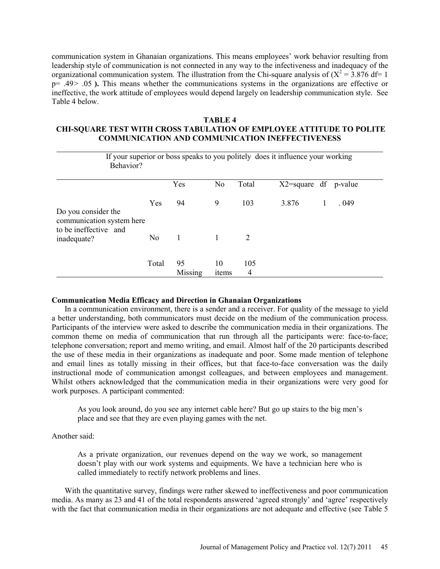communication system in Ghanaian organizations. This means employees' work behavior resulting from leadership style of communication is not connected in any way to the infectiveness and inadequacy of the organizational communication system. The illustration from the Chi-square analysis of  $(X^2 = 3.876$  df= 1 p= .49 ˃ .05 **).** This means whether the communications systems in the organizations are effective or ineffective, the work attitude of employees would depend largely on leadership communication style. See Table 4 below.

## **TABLE 4 CHI-SQUARE TEST WITH CROSS TABULATION OF EMPLOYEE ATTITUDE TO POLITE COMMUNICATION AND COMMUNICATION INEFFECTIVENESS**

| If your superior or boss speaks to you politely does it influence your working<br>Behavior? |                |               |                |          |                 |  |         |  |
|---------------------------------------------------------------------------------------------|----------------|---------------|----------------|----------|-----------------|--|---------|--|
|                                                                                             |                | Yes           | N <sub>0</sub> | Total    | $X2$ =square df |  | p-value |  |
| Do you consider the<br>communication system here                                            | Yes            | 94            | 9              | 103      | 3.876           |  | .049    |  |
| to be ineffective and<br>inadequate?                                                        | N <sub>o</sub> | 1             |                | 2        |                 |  |         |  |
|                                                                                             | Total          | 95<br>Missing | 10<br>items    | 105<br>4 |                 |  |         |  |

### **Communication Media Efficacy and Direction in Ghanaian Organizations**

In a communication environment, there is a sender and a receiver. For quality of the message to yield a better understanding, both communicators must decide on the medium of the communication process. Participants of the interview were asked to describe the communication media in their organizations. The common theme on media of communication that run through all the participants were: face-to-face; telephone conversation; report and memo writing, and email. Almost half of the 20 participants described the use of these media in their organizations as inadequate and poor. Some made mention of telephone and email lines as totally missing in their offices, but that face-to-face conversation was the daily instructional mode of communication amongst colleagues, and between employees and management. Whilst others acknowledged that the communication media in their organizations were very good for work purposes. A participant commented:

As you look around, do you see any internet cable here? But go up stairs to the big men's place and see that they are even playing games with the net.

# Another said:

As a private organization, our revenues depend on the way we work, so management doesn't play with our work systems and equipments. We have a technician here who is called immediately to rectify network problems and lines.

With the quantitative survey, findings were rather skewed to ineffectiveness and poor communication media. As many as 23 and 41 of the total respondents answered 'agreed strongly' and 'agree' respectively with the fact that communication media in their organizations are not adequate and effective (see Table 5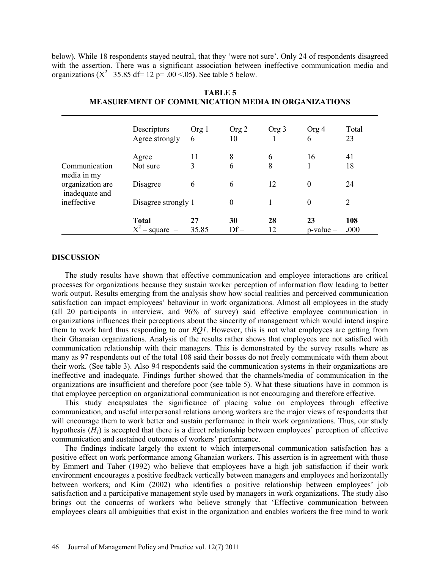below). While 18 respondents stayed neutral, that they 'were not sure'. Only 24 of respondents disagreed with the assertion. There was a significant association between ineffective communication media and organizations ( $X^{2}$ <sup>=</sup> 35.85 df = 12 p= .00 <.05). See table 5 below.

|                                    | Descriptors                      | Org 1       | Org 2        | Org 3    | Org 4                | Total       |
|------------------------------------|----------------------------------|-------------|--------------|----------|----------------------|-------------|
|                                    | Agree strongly                   | 6           | 10           |          | 6                    | 23          |
|                                    | Agree                            | 11          | 8            | 6        | 16                   | 41          |
| Communication<br>media in my       | Not sure                         | 3           | 6            | 8        |                      | 18          |
| organization are<br>inadequate and | Disagree                         | 6           | 6            | 12       | $\overline{0}$       | 24          |
| ineffective                        | Disagree strongly 1              |             | $\theta$     |          | 0                    | 2           |
|                                    | <b>Total</b><br>$X^2$ – square = | 27<br>35.85 | 30<br>$Df =$ | 28<br>12 | 23<br>$p$ -value $=$ | 108<br>.000 |

# **TABLE 5 MEASUREMENT OF COMMUNICATION MEDIA IN ORGANIZATIONS**

#### **DISCUSSION**

The study results have shown that effective communication and employee interactions are critical processes for organizations because they sustain worker perception of information flow leading to better work output. Results emerging from the analysis show how social realities and perceived communication satisfaction can impact employees' behaviour in work organizations. Almost all employees in the study (all 20 participants in interview, and 96% of survey) said effective employee communication in organizations influences their perceptions about the sincerity of management which would intend inspire them to work hard thus responding to our *RQ1*. However, this is not what employees are getting from their Ghanaian organizations. Analysis of the results rather shows that employees are not satisfied with communication relationship with their managers. This is demonstrated by the survey results where as many as 97 respondents out of the total 108 said their bosses do not freely communicate with them about their work. (See table 3). Also 94 respondents said the communication systems in their organizations are ineffective and inadequate. Findings further showed that the channels/media of communication in the organizations are insufficient and therefore poor (see table 5). What these situations have in common is that employee perception on organizational communication is not encouraging and therefore effective.

This study encapsulates the significance of placing value on employees through effective communication, and useful interpersonal relations among workers are the major views of respondents that will encourage them to work better and sustain performance in their work organizations. Thus, our study hypothesis  $(H<sub>1</sub>)$  is accepted that there is a direct relationship between employees' perception of effective communication and sustained outcomes of workers' performance.

The findings indicate largely the extent to which interpersonal communication satisfaction has a positive effect on work performance among Ghanaian workers. This assertion is in agreement with those by Emmert and Taher (1992) who believe that employees have a high job satisfaction if their work environment encourages a positive feedback vertically between managers and employees and horizontally between workers; and Kim (2002) who identifies a positive relationship between employees' job satisfaction and a participative management style used by managers in work organizations. The study also brings out the concerns of workers who believe strongly that 'Effective communication between employees clears all ambiguities that exist in the organization and enables workers the free mind to work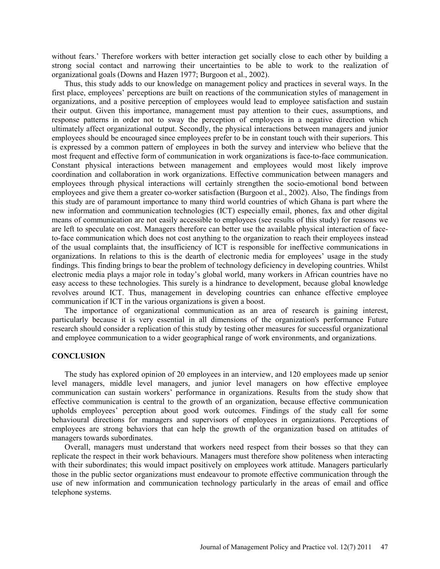without fears.' Therefore workers with better interaction get socially close to each other by building a strong social contact and narrowing their uncertainties to be able to work to the realization of organizational goals (Downs and Hazen 1977; Burgoon et al., 2002).

Thus, this study adds to our knowledge on management policy and practices in several ways. In the first place, employees' perceptions are built on reactions of the communication styles of management in organizations, and a positive perception of employees would lead to employee satisfaction and sustain their output. Given this importance, management must pay attention to their cues, assumptions, and response patterns in order not to sway the perception of employees in a negative direction which ultimately affect organizational output. Secondly, the physical interactions between managers and junior employees should be encouraged since employees prefer to be in constant touch with their superiors. This is expressed by a common pattern of employees in both the survey and interview who believe that the most frequent and effective form of communication in work organizations is face-to-face communication. Constant physical interactions between management and employees would most likely improve coordination and collaboration in work organizations. Effective communication between managers and employees through physical interactions will certainly strengthen the socio-emotional bond between employees and give them a greater co-worker satisfaction (Burgoon et al., 2002). Also, The findings from this study are of paramount importance to many third world countries of which Ghana is part where the new information and communication technologies (ICT) especially email, phones, fax and other digital means of communication are not easily accessible to employees (see results of this study) for reasons we are left to speculate on cost. Managers therefore can better use the available physical interaction of faceto-face communication which does not cost anything to the organization to reach their employees instead of the usual complaints that, the insufficiency of ICT is responsible for ineffective communications in organizations. In relations to this is the dearth of electronic media for employees' usage in the study findings. This finding brings to bear the problem of technology deficiency in developing countries. Whilst electronic media plays a major role in today's global world, many workers in African countries have no easy access to these technologies. This surely is a hindrance to development, because global knowledge revolves around ICT. Thus, management in developing countries can enhance effective employee communication if ICT in the various organizations is given a boost.

The importance of organizational communication as an area of research is gaining interest, particularly because it is very essential in all dimensions of the organization's performance Future research should consider a replication of this study by testing other measures for successful organizational and employee communication to a wider geographical range of work environments, and organizations.

### **CONCLUSION**

The study has explored opinion of 20 employees in an interview, and 120 employees made up senior level managers, middle level managers, and junior level managers on how effective employee communication can sustain workers' performance in organizations. Results from the study show that effective communication is central to the growth of an organization, because effective communication upholds employees' perception about good work outcomes. Findings of the study call for some behavioural directions for managers and supervisors of employees in organizations. Perceptions of employees are strong behaviors that can help the growth of the organization based on attitudes of managers towards subordinates.

Overall, managers must understand that workers need respect from their bosses so that they can replicate the respect in their work behaviours. Managers must therefore show politeness when interacting with their subordinates; this would impact positively on employees work attitude. Managers particularly those in the public sector organizations must endeavour to promote effective communication through the use of new information and communication technology particularly in the areas of email and office telephone systems.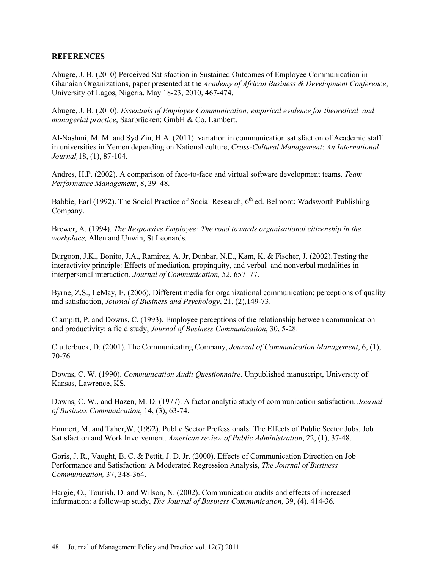# **REFERENCES**

Abugre, J. B. (2010) Perceived Satisfaction in Sustained Outcomes of Employee Communication in Ghanaian Organizations, paper presented at the *Academy of African Business & Development Conference*, University of Lagos, Nigeria, May 18-23, 2010, 467-474.

Abugre, J. B. (2010). *Essentials of Employee Communication; empirical evidence for theoretical and managerial practice*, Saarbrücken: GmbH & Co, Lambert.

Al-Nashmi, M. M. and Syd Zin, H A. (2011). variation in communication satisfaction of Academic staff in universities in Yemen depending on National culture, *Cross-Cultural Management*: *An International Journal,*18, (1), 87-104.

Andres, H.P. (2002). A comparison of face-to-face and virtual software development teams. *Team Performance Management*, 8, 39–48.

Babbie, Earl (1992). The Social Practice of Social Research,  $6<sup>th</sup>$  ed. Belmont: Wadsworth Publishing Company.

Brewer, A. (1994). *The Responsive Employee: The road towards organisational citizenship in the workplace,* Allen and Unwin, St Leonards.

Burgoon, J.K., Bonito, J.A., Ramirez, A. Jr, Dunbar, N.E., Kam, K. & Fischer, J. (2002).Testing the interactivity principle: Effects of mediation, propinquity, and verbal and nonverbal modalities in interpersonal interaction*. Journal of Communication, 52*, 657–77.

Byrne, Z.S., LeMay, E. (2006). Different media for organizational communication: perceptions of quality and satisfaction, *Journal of Business and Psychology*, 21, (2),149-73.

Clampitt, P. and Downs, C. (1993). Employee perceptions of the relationship between communication and productivity: a field study, *Journal of Business Communication*, 30, 5-28.

Clutterbuck, D. (2001). The Communicating Company, *Journal of Communication Management*, 6, (1), 70-76.

Downs, C. W. (1990). *Communication Audit Questionnaire*. Unpublished manuscript, University of Kansas, Lawrence, KS.

Downs, C. W., and Hazen, M. D. (1977). A factor analytic study of communication satisfaction. *Journal of Business Communication*, 14, (3), 63-74.

Emmert, M. and Taher,W. (1992). Public Sector Professionals: The Effects of Public Sector Jobs, Job Satisfaction and Work Involvement. *American review of Public Administration*, 22, (1), 37-48.

Goris, J. R., Vaught, B. C. & Pettit, J. D. Jr. (2000). Effects of Communication Direction on Job Performance and Satisfaction: A Moderated Regression Analysis, *The Journal of Business Communication,* 37, 348-364.

Hargie, O., Tourish, D. and Wilson, N. (2002). Communication audits and effects of increased information: a follow-up study, *The Journal of Business Communication,* 39, (4), 414-36.